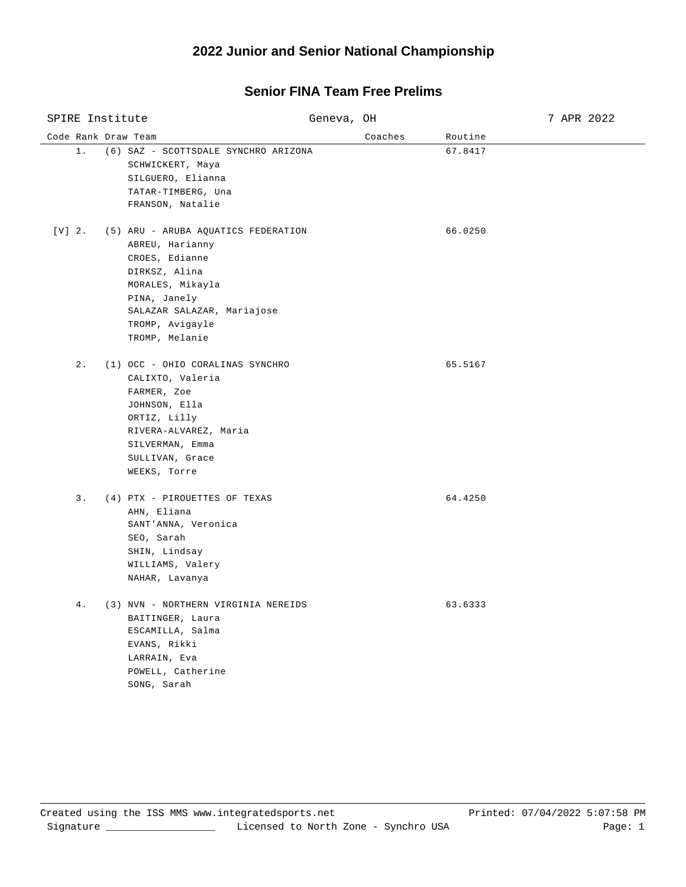## **2022 Junior and Senior National Championship**

## **Senior FINA Team Free Prelims**

| SPIRE Institute                                                                                                                                                                                              | Geneva, OH |         |  |
|--------------------------------------------------------------------------------------------------------------------------------------------------------------------------------------------------------------|------------|---------|--|
| Code Rank Draw Team                                                                                                                                                                                          | Coaches    | Routine |  |
| 1.<br>(6) SAZ - SCOTTSDALE SYNCHRO ARIZONA<br>SCHWICKERT, Maya<br>SILGUERO, Elianna<br>TATAR-TIMBERG, Una<br>FRANSON, Natalie                                                                                |            | 67.8417 |  |
| $[V]$ 2.<br>(5) ARU - ARUBA AQUATICS FEDERATION<br>ABREU, Harianny<br>CROES, Edianne<br>DIRKSZ, Alina<br>MORALES, Mikayla<br>PINA, Janely<br>SALAZAR SALAZAR, Mariajose<br>TROMP, Avigayle<br>TROMP, Melanie |            | 66.0250 |  |
| $2$ .<br>(1) OCC - OHIO CORALINAS SYNCHRO<br>CALIXTO, Valeria<br>FARMER, Zoe<br>JOHNSON, Ella<br>ORTIZ, Lilly<br>RIVERA-ALVAREZ, Maria<br>SILVERMAN, Emma<br>SULLIVAN, Grace<br>WEEKS, Torre                 |            | 65.5167 |  |
| 3.<br>(4) PTX - PIROUETTES OF TEXAS<br>AHN, Eliana<br>SANT'ANNA, Veronica<br>SEO, Sarah<br>SHIN, Lindsay<br>WILLIAMS, Valery<br>NAHAR, Lavanya                                                               |            | 64.4250 |  |
| 4.<br>(3) NVN - NORTHERN VIRGINIA NEREIDS<br>BAITINGER, Laura<br>ESCAMILLA, Salma<br>EVANS, Rikki<br>LARRAIN, Eva<br>POWELL, Catherine<br>SONG, Sarah                                                        |            | 63.6333 |  |